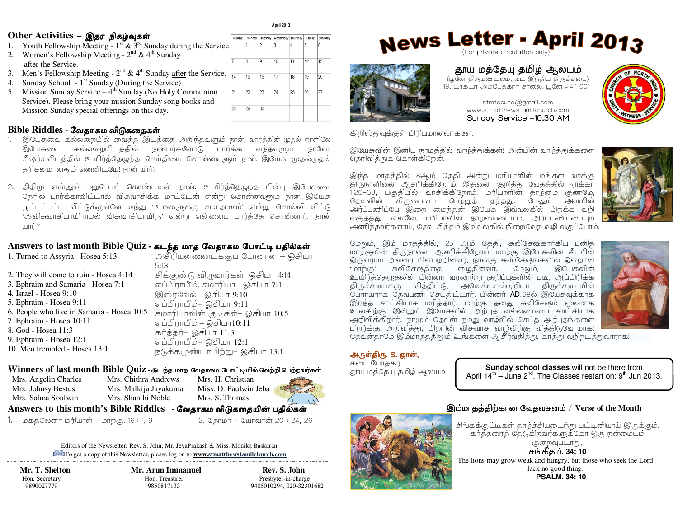#### Other Activities - இதர நிகழ்வுகள்

- 1. Youth Fellowship Meeting  $1<sup>st</sup>$  &  $3<sup>rd</sup>$  Sunday during the Service.
- 2. Women's Fellowship Meeting  $2^{nd}$  & 4<sup>th</sup> Sunday after the Service.
- 3. Men's Fellowship Meeting  $2^{nd} \& 4^{th}$  Sunday after the Service.
- 4. Sunday School  $1<sup>st</sup>$  Sunday (During the Service)
- 5. Mission Sunday Service  $-4<sup>th</sup>$  Sunday (No Holy Communion Service). Please bring your mission Sunday song books and Mission Sunday special offerings on this day.

## Bible Riddles - வேகாகம விடுககைகள்

- இயேசுவை கல்லறையில் வைத்த இடத்தை அறிந்தவளும் நாள். வாரத்தின் முதல் நாளிலே  $1.$ கல்லறையிடத்தில் நண்பர்களோடு இயேசுவை பார்க்க வந்தவளும் நானே. சீஷர்களிடத்தில் உயிர்த்தெழுந்த செய்தியை சொன்னவளும் நான். இயேசு முகல்முகல் தரிசனமானதும் என்னிடமே! நான் யார்?
- 2. திதிமு என்னும் மறுபெயர் கொண்டவன் நான். உயிர்த்தெழுந்த பின்பு இயேசுவை நேரில் பார்க்காவிட்டால் விசுவாசிக்க மாட்டேன் என்று சொன்னவனும் நான். இயேசு .<br>பட்டப்பட்ட வீட்டுக்குள்ளே வந்து 'உங்களுக்கு சமாதானம்' என்று சொல்லி விட்டு 'அவிசுவாசியாயிராமல் விசுவாசியாயிரு' என்று என்னைப் பார்த்தே சொன்னார். நான்  $\mathbb{R}$

## Answers to last month Bible Quiz - கடந்த மாத வேதாகம போட்டி பதில்கள்

| 1. Turned to Assyria - Hosea 5:13          | அசீரியனண்டைக்குப் போனான் – ஓசியா   |
|--------------------------------------------|------------------------------------|
|                                            | 5:13                               |
| 2. They will come to ruin - Hosea 4:14     | சிக்குண்டு விழுவார்கள்- ஓசியா 4:14 |
| 3. Ephraim and Samaria - Hosea 7:1         | எப்பிராயீம், சமாரியா– ஓசியா 7:1    |
| 4. Israel - Hosea 9:10                     | இஸ்ரவேல்- ஓசியா 9:10               |
| 5. Ephraim - Hosea 9:11                    | எப்பிராயீம்– ஓசியா 9:11            |
| 6. People who live in Samaria - Hosea 10:5 | சமாரியாவின் குடிகள்– ஓசியா 10:5    |
| 7. Ephraim - Hosea 10:11                   | எப்பிராயீம் – ஓசியா10:11           |
| 8. God - Hosea 11:3                        | கர்த்தர்– ஓசியா 11:3               |
| 9. Ephraim - Hosea 12:1                    | எப்பிராயீம்– ஓசியா 12:1            |
| 10. Men trembled - Hosea 13:1              | நடுக்கமுண்டாயிற்று- ஓசியா 13:1     |

## ${\bf W}$ inners of last month Bible Quiz - கடந்த மாத வேதாகம போட்டியில் வெற்றி பெற்றவர்கள்

Mrs. Angelin Charles Mrs. Johnsy Bestus Mrs. Salma Soulwin

Mrs. Chithra Andrews Mrs. Malkija Javakumar Mrs. Shanthi Noble

Mrs. H. Christian Miss. D. Paulwin Jeba Mrs. S. Thomas

## Answers to this month's Bible Riddles - வேதாகம விடுகதையின் பதில்கள்

1. மகதலேனா மரியாள் – மாற்கு. 16 : 1, 9

2. தோமா – யோவான் 20 : 24, 26

Editors of the Newsletter: Rev. S. John, Mr. JeyaPrakash & Miss. Monika Baskaran To get a copy of this Newsletter, please log on to **www.stmatthewstamilchurch.com** 

Mr. T. Shelton Hon. Secretary 9890027779

Mr. Arun Immanuel Hon. Treasurer 9850817133

Rev. S. John Presbyter-in-charge 9405010294, 020-32301682

## **News Letter - April 2013** (For private circulation only)





19, டாக்டர் அம்பேத்கார் சாலை, பூனே - 411 001 stmtcpune@gmail.com



www.stmatthewstamilchurch.com Sunday Service -10.30 AM

கிறிஸ்துவுக்குள் பிரியமானவர்களே,

இயேசுவின் இனிய நாமத்தில் வாழ்த்துக்கள்! அன்பின் வாழ்த்துக்களை தெரிவித்துக் கொள்கிறேன்!

இந்த மாதத்தில் 8ஆம் தேதி அன்று மரியாளின் மங்கள வாக்கு திருநாளினை ஆசரிக்கிறோம். இதனை குறித்து வேதத்தில் லூக்கா 1:26-38, பகுதியில் வாசிக்கிறோம். மரியாளின் தாழமை குணமே, மேலும் தேவனின் கிருபையை பெற்றுத் தந்தது. அவளின் அர்ப்பணிப்பே இறை மைந்தன் இயேசு இவ்வுலகில் பிறக்க வழி வகுத்தது. எனவே, மரியாளின் தாழ்மையையும், அர்ப்பணிப்பையும் அணிந்தவர்களாய், தேவ சித்தம் இவ்வலகில் நிறைவேற வழி வகுப்போம்.



மேலும். இம் மாதத்தில், 25 ஆம் தேதி, சுவிசேஷகராகிய புனித ஒருவராய் அவரை பின்பற்றினவர், நான்கு சுவிசேஷங்களில் ஒன்றான , மாற்கு, சுவிசேஷத்தை எழுதினவர். மேலும், இயேசுவின் உயிர்த்தெழுதலின் பின்னர் வரலாற்று குறிப்புகளின் படி, ஆப்பிரிக்க திருச்சபைக்கு வித்திட்டு, அலெக்ஸாண்டிரியா திருச்சபையின் .<br>பேராயராக தேவபணி செய்திட்டார். பின்னர் AD.68ல் இயேசுவுக்காக இரத்த சாட்சியாக மரித்தார். மாற்கு தனது சுவிசேஷம் மூலமாக உலகிற்கு இன்றும் இயேசுவின் அற்புத வல்லமையை சாட்சியாக அறிவிக்கிறார். நாமும் தேவன் நமது வாழ்வில் செய்த அற்பதங்களை பிறர்க்கு அறிவித்து, பிறரின் விசுவாச வாழ்விற்கு வித்திடுவோமாக!



தேவன்தாமே இம்மாதத்திலும் உங்களை ஆசீர்வதித்து, காத்து வழிநடத்துவாராக!

#### அருள்திரு. S. ஜான்,

சபை போதகா தூய மத்தேயு தமிழ் ஆலயம்

Sunday school classes will not be there from April  $14^{\text{th}}$  – June  $2^{\text{nd}}$ . The Classes restart on:  $9^{\text{th}}$  Jun 2013.

# இம்மாதத்திற்கான வேதவசனம் / Verse of the Month

சிங்கக்குட்டிகள் தாழ்ச்சியடைந்து பட்டினியாய் இருக்கும். கர்த்தரைத் தேடுகிறவர்களுக்கோ ஒரு நன்மையும் குறைவுபடாது,

சங்கீகம். 34: 10 The lions may grow weak and hungry, but those who seek the Lord lack no good thing. **PSALM, 34: 10** 



**April 2013** Sunday Monday Tuesday Wednesday Thursday Friday Saturday

> $\overline{111}$  $\overline{12}$

18  $\overline{19}$  $\frac{1}{20}$ 

 $\overline{25}$  $\overline{26}$  $\overline{27}$ 

 $\overline{113}$ 

 $\overline{2}$ ৗঽ

l q  $\overline{10}$ 

 $\overline{15}$  $\frac{1}{16}$  $\overline{117}$ 

 $\overline{29}$  $30$ 

 $\overline{21}$  $\overline{22}$  $\overline{23}$  $\overline{24}$